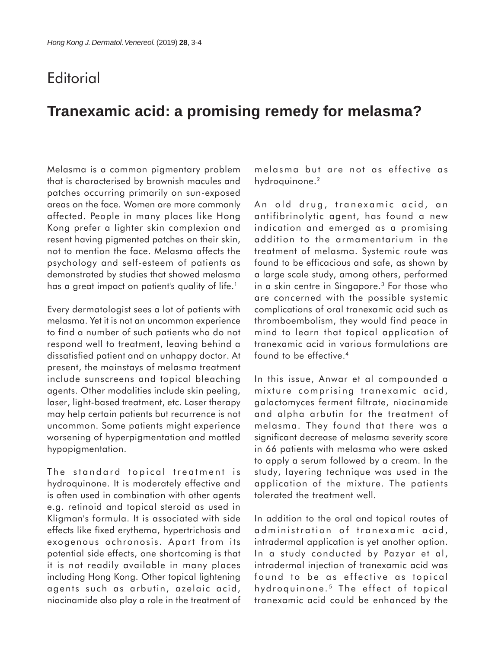## **Editorial**

## **Tranexamic acid: a promising remedy for melasma?**

Melasma is a common pigmentary problem that is characterised by brownish macules and patches occurring primarily on sun-exposed areas on the face. Women are more commonly affected. People in many places like Hong Kong prefer a lighter skin complexion and resent having pigmented patches on their skin, not to mention the face. Melasma affects the psychology and self-esteem of patients as demonstrated by studies that showed melasma has a great impact on patient's quality of life.<sup>1</sup>

Every dermatologist sees a lot of patients with melasma. Yet it is not an uncommon experience to find a number of such patients who do not respond well to treatment, leaving behind a dissatisfied patient and an unhappy doctor. At present, the mainstays of melasma treatment include sunscreens and topical bleaching agents. Other modalities include skin peeling, laser, light-based treatment, etc. Laser therapy may help certain patients but recurrence is not uncommon. Some patients might experience worsening of hyperpigmentation and mottled hypopigmentation.

The standard topical treatment is hydroquinone. It is moderately effective and is often used in combination with other agents e.g. retinoid and topical steroid as used in Kligman's formula. It is associated with side effects like fixed erythema, hypertrichosis and exogenous ochronosis. Apart from its potential side effects, one shortcoming is that it is not readily available in many places including Hong Kong. Other topical lightening agents such as arbutin, azelaic acid, niacinamide also play a role in the treatment of melasma but are not as effective as hydroquinone.<sup>2</sup>

An old drug, tranexamic acid, an antifibrinolytic agent, has found a new indication and emerged as a promising addition to the armamentarium in the treatment of melasma. Systemic route was found to be efficacious and safe, as shown by a large scale study, among others, performed in a skin centre in Singapore.3 For those who are concerned with the possible systemic complications of oral tranexamic acid such as thromboembolism, they would find peace in mind to learn that topical application of tranexamic acid in various formulations are found to be effective.4

In this issue, Anwar et al compounded a mixture comprising tranexamic acid, galactomyces ferment filtrate, niacinamide and alpha arbutin for the treatment of melasma. They found that there was a significant decrease of melasma severity score in 66 patients with melasma who were asked to apply a serum followed by a cream. In the study, layering technique was used in the application of the mixture. The patients tolerated the treatment well.

In addition to the oral and topical routes of administration of tranexamic acid, intradermal application is yet another option. In a study conducted by Pazyar et al, intradermal injection of tranexamic acid was found to be as effective as topical hydroquinone.<sup>5</sup> The effect of topical tranexamic acid could be enhanced by the